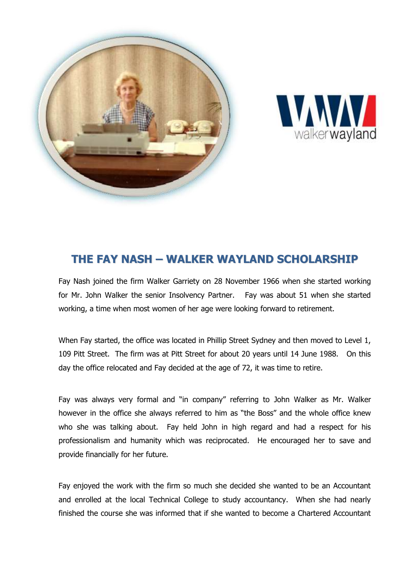



## **THE FAY NASH – WALKER WAYLAND SCHOLARSHIP**

Fay Nash joined the firm Walker Garriety on 28 November 1966 when she started working for Mr. John Walker the senior Insolvency Partner. Fay was about 51 when she started working, a time when most women of her age were looking forward to retirement.

When Fay started, the office was located in Phillip Street Sydney and then moved to Level 1, 109 Pitt Street. The firm was at Pitt Street for about 20 years until 14 June 1988. On this day the office relocated and Fay decided at the age of 72, it was time to retire.

Fay was always very formal and "in company" referring to John Walker as Mr. Walker however in the office she always referred to him as "the Boss" and the whole office knew who she was talking about. Fay held John in high regard and had a respect for his professionalism and humanity which was reciprocated. He encouraged her to save and provide financially for her future.

Fay enjoyed the work with the firm so much she decided she wanted to be an Accountant and enrolled at the local Technical College to study accountancy. When she had nearly finished the course she was informed that if she wanted to become a Chartered Accountant